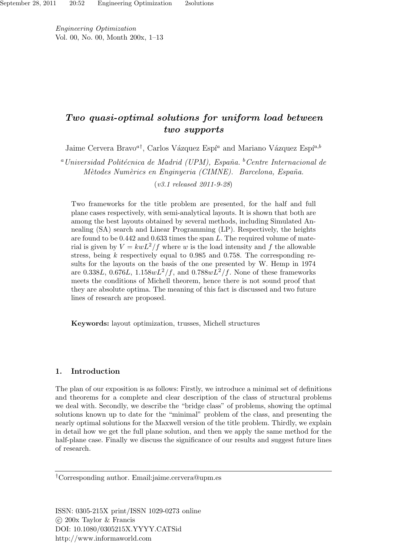Engineering Optimization Vol. 00, No. 00, Month 200x, 1–13

# Two quasi-optimal solutions for uniform load between two supports

Jaime Cervera Bravo<sup>a†</sup>, Carlos Vázquez Espí<sup>a</sup> and Mariano Vázquez Espí<sup>a,b</sup>

<sup>a</sup> Universidad Politécnica de Madrid (UPM), España.  ${}^b$ Centre Internacional de Mètodes Numèrics en Enginyeria (CIMNE). Barcelona, España.

(v3.1 released 2011-9-28)

Two frameworks for the title problem are presented, for the half and full plane cases respectively, with semi-analytical layouts. It is shown that both are among the best layouts obtained by several methods, including Simulated Annealing (SA) search and Linear Programming (LP). Respectively, the heights are found to be  $0.442$  and  $0.633$  times the span L. The required volume of material is given by  $V = kwL^2/f$  where w is the load intensity and f the allowable stress, being  $k$  respectively equal to 0.985 and 0.758. The corresponding results for the layouts on the basis of the one presented by W. Hemp in 1974 are 0.338L, 0.676L,  $1.158wL^2/f$ , and  $0.788wL^2/f$ . None of these frameworks meets the conditions of Michell theorem, hence there is not sound proof that they are absolute optima. The meaning of this fact is discussed and two future lines of research are proposed.

Keywords: layout optimization, trusses, Michell structures

# 1. Introduction

The plan of our exposition is as follows: Firstly, we introduce a minimal set of definitions and theorems for a complete and clear description of the class of structural problems we deal with. Secondly, we describe the "bridge class" of problems, showing the optimal solutions known up to date for the "minimal" problem of the class, and presenting the nearly optimal solutions for the Maxwell version of the title problem. Thirdly, we explain in detail how we get the full plane solution, and then we apply the same method for the half-plane case. Finally we discuss the significance of our results and suggest future lines of research.

†Corresponding author. Email:jaime.cervera@upm.es

ISSN: 0305-215X print/ISSN 1029-0273 online  $\circ$  200x Taylor & Francis DOI: 10.1080/0305215X.YYYY.CATSid http://www.informaworld.com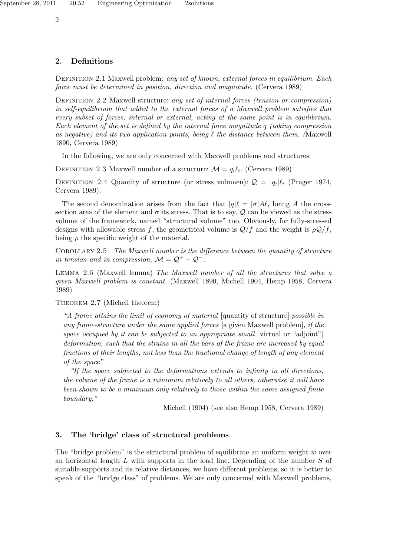# 2. Definitions

DEFINITION 2.1 Maxwell problem: any set of known, external forces in equilibrium. Each force must be determined in position, direction and magnitude. (Cervera 1989)

DEFINITION 2.2 Maxwell structure: any set of internal forces (tension or compression) in self-equilibrium that added to the external forces of a Maxwell problem satisfies that every subset of forces, internal or external, acting at the same point is in equilibrium. Each element of the set is defined by the internal force magnitude  $q$  (taking compression as negative) and its two application points, being  $\ell$  the distance between them. (Maxwell 1890, Cervera 1989)

In the following, we are only concerned with Maxwell problems and structures.

DEFINITION 2.3 Maxwell number of a structure:  $\mathcal{M} = q_i \ell_i$ . (Cervera 1989)

DEFINITION 2.4 Quantity of structure (or stress volumen):  $Q = |q_i|\ell_i$  (Prager 1974, Cervera 1989).

The second denomination arises from the fact that  $|q|\ell = |\sigma|A\ell$ , being A the crosssection area of the element and  $\sigma$  its stress. That is to say,  $\mathcal Q$  can be viewed as the stress volume of the framework, named "structural volume" too. Obviously, for fully-stressed designs with allowable stress f, the geometrical volume is  $Q/f$  and the weight is  $\rho Q/f$ , being  $\rho$  the specific weight of the material.

COROLLARY 2.5 The Maxwell number is the difference between the quantity of structure in tension and in compression,  $\mathcal{M} = \mathcal{Q}^+ - \mathcal{Q}^-$ .

Lemma 2.6 (Maxwell lemma) The Maxwell number of all the structures that solve a given Maxwell problem is constant. (Maxwell 1890, Michell 1904, Hemp 1958, Cervera 1989)

Theorem 2.7 (Michell theorem)

"A frame attains the limit of economy of material [quantity of structure] possible in any frame-structure under the same applied forces [a given Maxwell problem], if the space occupied by it can be subjected to an appropriate small [virtual or "adjoint"] deformation, such that the strains in all the bars of the frame are increased by equal fractions of their lengths, not less than the fractional change of length of any element of the space"

"If the space subjected to the deformations extends to infinity in all directions, the volume of the frame is a minimum relatively to all others, otherwise it will have been shown to be a minimum only relatively to those within the same assigned finite boundary."

Michell (1904) (see also Hemp 1958, Cervera 1989)

# 3. The 'bridge' class of structural problems

The "bridge problem" is the structural problem of equilibrate an uniform weight  $w$  over an horizontal length  $L$  with supports in the load line. Depending of the number  $S$  of suitable supports and its relative distances, we have different problems, so it is better to speak of the "bridge class" of problems. We are only concerned with Maxwell problems,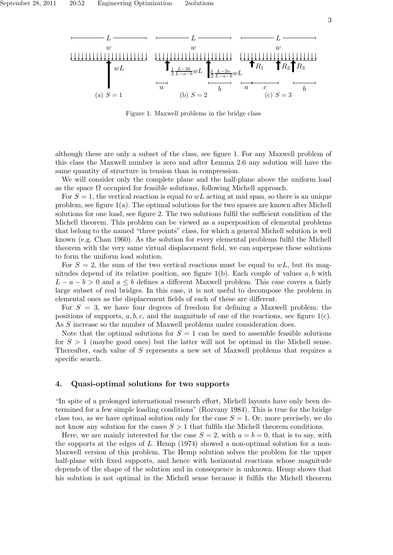Figure 1. Maxwell problems in the bridge class

although these are only a subset of the class, see figure 1. For any Maxwell problem of this class the Maxwell number is zero and after Lemma 2.6 any solution will have the same quantity of structure in tension than in compression.

We will consider only the complete plane and the half-plane above the uniform load as the space  $\Omega$  occupied for feasible solutions, following Michell approach.

For  $S = 1$ , the vertical reaction is equal to wL acting at mid span, so there is an unique problem, see figure  $1(a)$ . The optimal solutions for the two spaces are known after Michell solutions for one load, see figure 2. The two solutions fulfil the sufficient condition of the Michell theorem. This problem can be viewed as a superposition of elemental problems that belong to the named "three points" class, for which a general Michell solution is well known (e.g. Chan 1960). As the solution for every elemental problems fulfil the Michell theorem with the very same virtual displacement field, we can superpose these solutions to form the uniform load solution.

For  $S = 2$ , the sum of the two vertical reactions must be equal to wL, but its magnitudes depend of its relative position, see figure  $1(b)$ . Each couple of values a, b with  $L - a - b > 0$  and  $a \leq b$  defines a different Maxwell problem. This case covers a fairly large subset of real bridges. In this case, it is not useful to decompose the problem in elemental ones as the displacement fields of each of these are different.

For  $S = 3$ , we have four degrees of freedom for defining a Maxwell problem: the positions of supports,  $a, b, c$ , and the magnitude of one of the reactions, see figure  $1(c)$ . As S increase so the number of Maxwell problems under consideration does.

Note that the optimal solutions for  $S = 1$  can be used to assemble feasible solutions for  $S > 1$  (maybe good ones) but the latter will not be optimal in the Michell sense. Thereafter, each value of S represents a new set of Maxwell problems that requires a specific search.

#### 4. Quasi-optimal solutions for two supports

"In spite of a prolonged international research effort, Michell layouts have only been determined for a few simple loading conditions" (Rozvany 1984). This is true for the bridge class too, as we have optimal solution only for the case  $S = 1$ . Or, more precisely, we do not know any solution for the cases  $S > 1$  that fulfils the Michell theorem conditions.

Here, we are mainly interested for the case  $S = 2$ , with  $a = b = 0$ , that is to say, with the supports at the edges of L. Hemp (1974) showed a non-optimal solution for a non-Maxwell version of this problem. The Hemp solution solves the problem for the upper half-plane with fixed supports, and hence with horizontal reactions whose magnitude depends of the shape of the solution and in consequence is unknown. Hemp shows that his solution is not optimal in the Michell sense because it fulfils the Michell theorem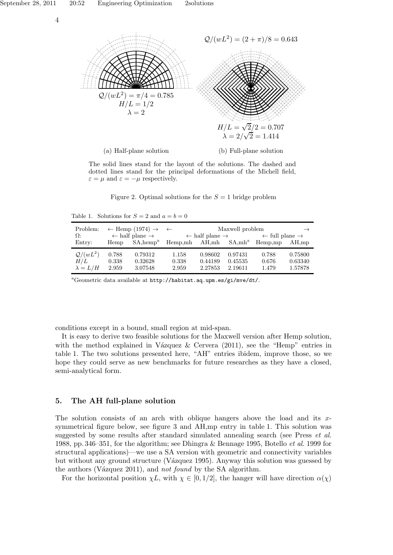

The solid lines stand for the layout of the solutions. The dashed and dotted lines stand for the principal deformations of the Michell field,  $\varepsilon = \mu$  and  $\varepsilon = -\mu$  respectively.

Figure 2. Optimal solutions for the  $S = 1$  bridge problem

Table 1. Solutions for  $S = 2$  and  $a = b = 0$ 

| Problem:        | $\leftarrow$ Hemp (1974) $\rightarrow$ $\leftarrow$ |                       | Maxwell problem                       |         |                                       |                                       | $\rightarrow$ |
|-----------------|-----------------------------------------------------|-----------------------|---------------------------------------|---------|---------------------------------------|---------------------------------------|---------------|
| $\Omega$ :      | $\leftarrow$ half plane $\rightarrow$               |                       | $\leftarrow$ half plane $\rightarrow$ |         | $\leftarrow$ full plane $\rightarrow$ |                                       |               |
| Entry:          | Hemp                                                | SA, hemp <sup>a</sup> |                                       |         |                                       | $Hemp,mh$ AH, mh $SA,mh^a$ $Hemp, mp$ | AH, mp        |
| $Q/(wL^2)$      | 0.788                                               | 0.79312               | 1.158                                 | 0.98602 | 0.97431                               | 0.788                                 | 0.75800       |
| H/L             | 0.338                                               | 0.32628               | 0.338                                 | 0.44189 | 0.45535                               | 0.676                                 | 0.63340       |
| $\lambda = L/H$ | 2.959                                               | 3.07548               | 2.959                                 | 2.27853 | 2.19611                               | 1.479                                 | 1.57878       |

<sup>a</sup>Geometric data available at http://habitat.aq.upm.es/gi/mve/dt/.

conditions except in a bound, small region at mid-span.

It is easy to derive two feasible solutions for the Maxwell version after Hemp solution, with the method explained in Vázquez & Cervera  $(2011)$ , see the "Hemp" entries in table 1. The two solutions presented here, "AH" entries ibidem, improve those, so we hope they could serve as new benchmarks for future researches as they have a closed, semi-analytical form.

# 5. The AH full-plane solution

The solution consists of an arch with oblique hangers above the load and its  $x$ symmetrical figure below, see figure 3 and AH,mp entry in table 1. This solution was suggested by some results after standard simulated annealing search (see Press et al. 1988, pp. 346–351, for the algorithm; see Dhingra & Bennage 1995, Botello et al. 1999 for structural applications)—we use a SA version with geometric and connectivity variables but without any ground structure (Vázquez 1995). Anyway this solution was guessed by the authors (V $a$ zquez 2011), and not found by the SA algorithm.

For the horizontal position  $\chi L$ , with  $\chi \in [0, 1/2]$ , the hanger will have direction  $\alpha(\chi)$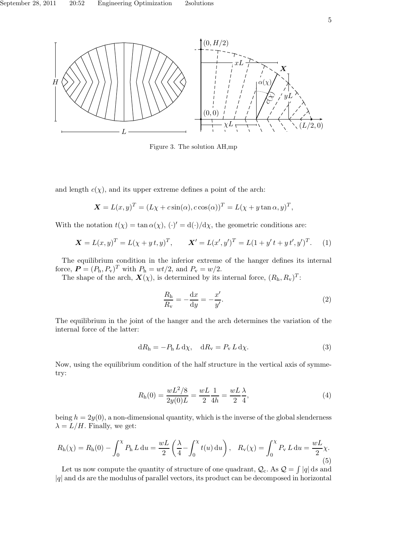

Figure 3. The solution AH,mp

and length  $c(\chi)$ , and its upper extreme defines a point of the arch:

$$
\mathbf{X} = L(x, y)^T = (L\chi + c\sin(\alpha), c\cos(\alpha))^T = L(\chi + y\tan \alpha, y)^T,
$$

With the notation  $t(\chi) = \tan \alpha(\chi)$ ,  $(\cdot)' = d(\cdot)/d\chi$ , the geometric conditions are:

$$
\mathbf{X} = L(x, y)^{T} = L(\chi + y t, y)^{T}, \qquad \mathbf{X}' = L(x', y')^{T} = L(1 + y' t + y t', y')^{T}.
$$
 (1)

The equilibrium condition in the inferior extreme of the hanger defines its internal force,  $\mathbf{P} = (P_h, P_v)^T$  with  $P_h = wt/2$ , and  $P_v = w/2$ .

The shape of the arch,  $\mathbf{X}(\chi)$ , is determined by its internal force,  $(R_h, R_v)^T$ :

$$
\frac{R_{\rm h}}{R_{\rm v}} = -\frac{\mathrm{d}x}{\mathrm{d}y} = -\frac{x'}{y'}.\tag{2}
$$

The equilibrium in the joint of the hanger and the arch determines the variation of the internal force of the latter:

$$
dR_h = -P_h L d\chi, \quad dR_v = P_v L d\chi.
$$
\n(3)

Now, using the equilibrium condition of the half structure in the vertical axis of symmetry:

$$
R_{\rm h}(0) = \frac{wL^2/8}{2y(0)L} = \frac{wL}{2} \frac{1}{4h} = \frac{wL}{2} \frac{\lambda}{4},\tag{4}
$$

being  $h = 2y(0)$ , a non-dimensional quantity, which is the inverse of the global slenderness  $\lambda = L/H$ . Finally, we get:

$$
R_{\rm h}(\chi) = R_{\rm h}(0) - \int_0^{\chi} P_{\rm h} L \, \mathrm{d}u = \frac{wL}{2} \left( \frac{\lambda}{4} - \int_0^{\chi} t(u) \, \mathrm{d}u \right), \quad R_{\rm v}(\chi) = \int_0^{\chi} P_{\rm v} L \, \mathrm{d}u = \frac{wL}{2} \chi. \tag{5}
$$

Let us now compute the quantity of structure of one quadrant,  $Q_c$ . As  $Q = \int |q| ds$  and  $|q|$  and ds are the modulus of parallel vectors, its product can be decomposed in horizontal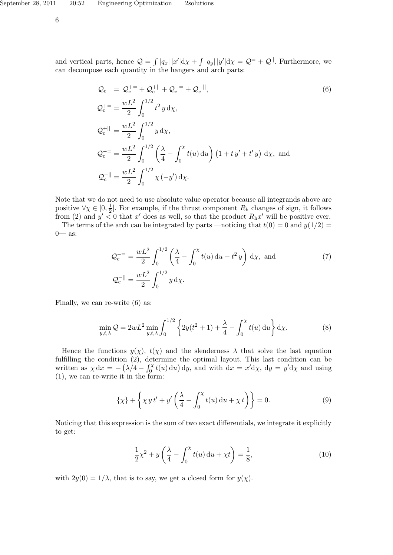6

and vertical parts, hence  $Q = \int |q_x| |x'| d\chi + \int |q_y| |y'| d\chi = Q^= + Q^{||}$ . Furthermore, we can decompose each quantity in the hangers and arch parts:

$$
Q_{c} = Q_{c}^{+-} + Q_{c}^{+||} + Q_{c}^{--} + Q_{c}^{-||},
$$
\n
$$
Q_{c}^{+-} = \frac{wL^{2}}{2} \int_{0}^{1/2} t^{2} y \,d\chi,
$$
\n
$$
Q_{c}^{+||} = \frac{wL^{2}}{2} \int_{0}^{1/2} y \,d\chi,
$$
\n
$$
Q_{c}^{--} = \frac{wL^{2}}{2} \int_{0}^{1/2} \left(\frac{\lambda}{4} - \int_{0}^{\chi} t(u) \,du\right) \left(1 + ty' + t'y\right) \,d\chi,
$$
\nand\n
$$
Q_{c}^{-||} = \frac{wL^{2}}{2} \int_{0}^{1/2} \chi\left(-y'\right) \,d\chi.
$$
\n(6)

Note that we do not need to use absolute value operator because all integrands above are positive  $\forall \chi \in [0, \frac{1}{2}]$  $\frac{1}{2}$ . For example, if the thrust component  $R_h$  changes of sign, it follows from (2) and  $y' \leq 0$  that x' does as well, so that the product  $R_{\rm h}x'$  will be positive ever.

The terms of the arch can be integrated by parts —noticing that  $t(0) = 0$  and  $y(1/2) =$ 0— as:

$$
\mathcal{Q}_{c}^{==} = \frac{wL^{2}}{2} \int_{0}^{1/2} \left(\frac{\lambda}{4} - \int_{0}^{x} t(u) du + t^{2} y\right) d\chi, \text{ and}
$$
\n
$$
\mathcal{Q}_{c}^{-}|| = \frac{wL^{2}}{2} \int_{0}^{1/2} y d\chi.
$$
\n(7)

Finally, we can re-write (6) as:

$$
\min_{y,t,\lambda} Q = 2wL^2 \min_{y,t,\lambda} \int_0^{1/2} \left\{ 2y(t^2+1) + \frac{\lambda}{4} - \int_0^\chi t(u) \, \mathrm{d}u \right\} \mathrm{d}\chi. \tag{8}
$$

Hence the functions  $y(\chi)$ ,  $t(\chi)$  and the slenderness  $\lambda$  that solve the last equation fulfilling the condition (2), determine the optimal layout. This last condition can be written as  $\chi dx = -(\lambda/4 - \int_0^{\chi} t(u) \, du) dy$ , and with  $dx = x'd\chi$ ,  $dy = y'd\chi$  and using (1), we can re-write it in the form:

$$
\{\chi\} + \left\{\chi \, y \, t' + y' \left(\frac{\lambda}{4} - \int_0^\chi t(u) \, \mathrm{d}u + \chi \, t\right)\right\} = 0. \tag{9}
$$

Noticing that this expression is the sum of two exact differentials, we integrate it explicitly to get:

$$
\frac{1}{2}\chi^2 + y\left(\frac{\lambda}{4} - \int_0^{\chi} t(u) \, \mathrm{d}u + \chi t\right) = \frac{1}{8},\tag{10}
$$

with  $2y(0) = 1/\lambda$ , that is to say, we get a closed form for  $y(\chi)$ .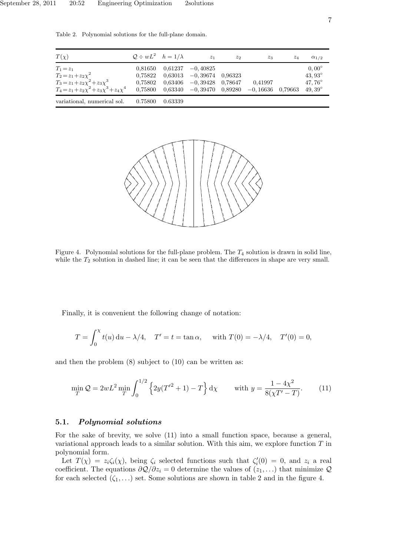Table 2. Polynomial solutions for the full-plane domain.



Figure 4. Polynomial solutions for the full-plane problem. The  $T_4$  solution is drawn in solid line, while the  $T_2$  solution in dashed line; it can be seen that the differences in shape are very small.

Finally, it is convenient the following change of notation:

$$
T = \int_0^{\chi} t(u) \, du - \lambda/4, \quad T' = t = \tan \alpha, \quad \text{ with } T(0) = -\lambda/4, \quad T'(0) = 0,
$$

and then the problem (8) subject to (10) can be written as:

$$
\min_{T} \mathcal{Q} = 2wL^2 \min_{T} \int_0^{1/2} \left\{ 2y(T'^2 + 1) - T \right\} d\chi \quad \text{with } y = \frac{1 - 4\chi^2}{8(\chi T' - T)}.
$$
 (11)

# 5.1. Polynomial solutions

For the sake of brevity, we solve (11) into a small function space, because a general, variational approach leads to a similar solution. With this aim, we explore function  $T$  in polynomial form.

Let  $T(\chi) = z_i \zeta_i(\chi)$ , being  $\zeta_i$  selected functions such that  $\zeta_i'(0) = 0$ , and  $z_i$  a real coefficient. The equations  $\partial \mathcal{Q}/\partial z_i = 0$  determine the values of  $(z_1, \ldots)$  that minimize  $\mathcal{Q}$ for each selected  $(\zeta_1, \ldots)$  set. Some solutions are shown in table 2 and in the figure 4.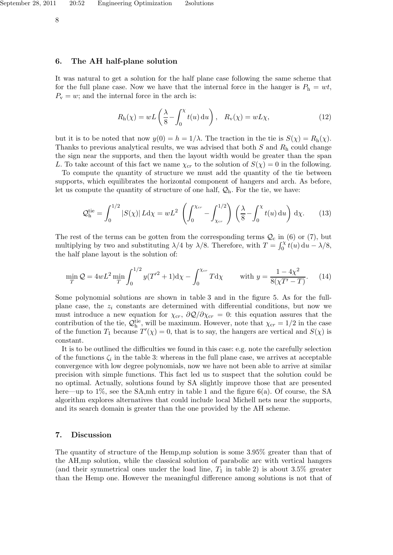## 6. The AH half-plane solution

It was natural to get a solution for the half plane case following the same scheme that for the full plane case. Now we have that the internal force in the hanger is  $P_h = wt$ ,  $P_{\rm v} = w$ ; and the internal force in the arch is:

$$
R_{\rm h}(\chi) = wL\left(\frac{\lambda}{8} - \int_0^\chi t(u) \, \mathrm{d}u\right), \quad R_{\rm v}(\chi) = wL\chi,\tag{12}
$$

but it is to be noted that now  $y(0) = h = 1/\lambda$ . The traction in the tie is  $S(\chi) = R_h(\chi)$ . Thanks to previous analytical results, we was advised that both  $S$  and  $R<sub>h</sub>$  could change the sign near the supports, and then the layout width would be greater than the span L. To take account of this fact we name  $\chi_{cr}$  to the solution of  $S(\chi) = 0$  in the following.

To compute the quantity of structure we must add the quantity of the tie between supports, which equilibrates the horizontal component of hangers and arch. As before, let us compute the quantity of structure of one half,  $\mathcal{Q}_h$ . For the tie, we have:

$$
\mathcal{Q}_{\mathrm{h}}^{\mathrm{tie}} = \int_0^{1/2} |S(\chi)| L \mathrm{d}\chi = wL^2 \left( \int_0^{\chi_{\mathrm{cr}}} - \int_{\chi_{\mathrm{cr}}}^{1/2} \right) \left( \frac{\lambda}{8} - \int_0^{\chi} t(u) \, \mathrm{d}u \right) \mathrm{d}\chi. \tag{13}
$$

The rest of the terms can be gotten from the corresponding terms  $\mathcal{Q}_c$  in (6) or (7), but multiplying by two and substituting  $\lambda/4$  by  $\lambda/8$ . Therefore, with  $T = \int_0^{\chi} t(u) du - \lambda/8$ , the half plane layout is the solution of:

$$
\min_{T} \mathcal{Q} = 4wL^2 \min_{T} \int_0^{1/2} y(T'^2 + 1) \mathrm{d}\chi - \int_0^{\chi_{cr}} T \mathrm{d}\chi \qquad \text{with } y = \frac{1 - 4\chi^2}{8(\chi T' - T)}.\tag{14}
$$

Some polynomial solutions are shown in table 3 and in the figure 5. As for the fullplane case, the  $z_i$  constants are determined with differential conditions, but now we must introduce a new equation for  $\chi_{cr}$ ,  $\partial \mathcal{Q}/\partial \chi_{cr} = 0$ : this equation assures that the contribution of the tie,  $\mathcal{Q}_{h}^{\text{tie}}$ , will be maximum. However, note that  $\chi_{cr} = 1/2$  in the case of the function  $T_1$  because  $T'(\chi) = 0$ , that is to say, the hangers are vertical and  $S(\chi)$  is constant.

It is to be outlined the difficulties we found in this case: e.g. note the carefully selection of the functions  $\zeta_i$  in the table 3: whereas in the full plane case, we arrives at acceptable convergence with low degree polynomials, now we have not been able to arrive at similar precision with simple functions. This fact led us to suspect that the solution could be no optimal. Actually, solutions found by SA slightly improve those that are presented here—up to  $1\%$ , see the SA, mh entry in table 1 and the figure 6(a). Of course, the SA algorithm explores alternatives that could include local Michell nets near the supports, and its search domain is greater than the one provided by the AH scheme.

#### 7. Discussion

The quantity of structure of the Hemp,mp solution is some 3.95% greater than that of the AH,mp solution, while the classical solution of parabolic arc with vertical hangers (and their symmetrical ones under the load line,  $T_1$  in table 2) is about 3.5% greater than the Hemp one. However the meaningful difference among solutions is not that of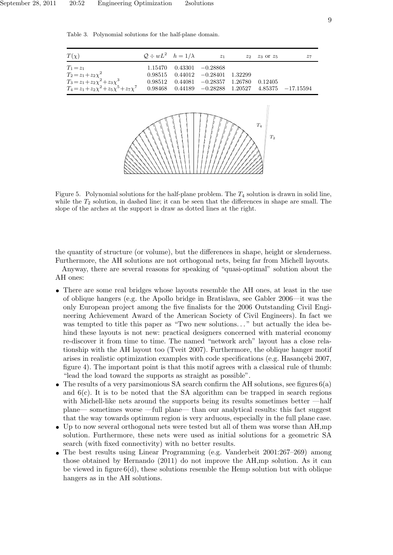September 28, 2011 20:52 Engineering Optimization 2solutions



Table 3. Polynomial solutions for the half-plane domain.

Figure 5. Polynomial solutions for the half-plane problem. The  $T_4$  solution is drawn in solid line, while the  $T_2$  solution, in dashed line; it can be seen that the differences in shape are small. The slope of the arches at the support is draw as dotted lines at the right.

the quantity of structure (or volume), but the differences in shape, height or slenderness. Furthermore, the AH solutions are not orthogonal nets, being far from Michell layouts.

Anyway, there are several reasons for speaking of "quasi-optimal" solution about the AH ones:

- There are some real bridges whose layouts resemble the AH ones, at least in the use of oblique hangers (e.g. the Apollo bridge in Bratislava, see Gabler 2006—it was the only European project among the five finalists for the 2006 Outstanding Civil Engineering Achievement Award of the American Society of Civil Engineers). In fact we was tempted to title this paper as "Two new solutions..." but actually the idea behind these layouts is not new: practical designers concerned with material economy re-discover it from time to time. The named "network arch" layout has a close relationship with the AH layout too (Tveit 2007). Furthermore, the oblique hanger motif arises in realistic optimization examples with code specifications (e.g. Hasancebi 2007, figure 4). The important point is that this motif agrees with a classical rule of thumb: "lead the load toward the supports as straight as possible".
- The results of a very parsimonious SA search confirm the AH solutions, see figures  $6(a)$ and  $6(c)$ . It is to be noted that the SA algorithm can be trapped in search regions with Michell-like nets around the supports being its results sometimes better —half plane— sometimes worse —full plane— than our analytical results: this fact suggest that the way towards optimum region is very arduous, especially in the full plane case.
- Up to now several orthogonal nets were tested but all of them was worse than AH,mp solution. Furthermore, these nets were used as initial solutions for a geometric SA search (with fixed connectivity) with no better results.
- The best results using Linear Programming (e.g. Vanderbeit 2001:267–269) among those obtained by Hernando (2011) do not improve the AH,mp solution. As it can be viewed in figure  $6(d)$ , these solutions resemble the Hemp solution but with oblique hangers as in the AH solutions.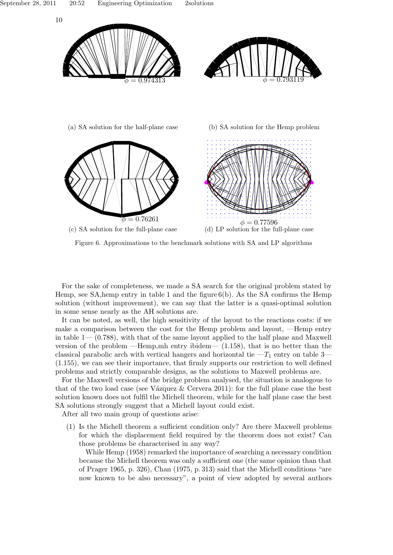

Figure 6. Approximations to the benchmark solutions with SA and LP algorithms

For the sake of completeness, we made a SA search for the original problem stated by Hemp, see SA, hemp entry in table 1 and the figure  $6(b)$ . As the SA confirms the Hemp solution (without improvement), we can say that the latter is a quasi-optimal solution in some sense nearly as the AH solutions are.

It can be noted, as well, the high sensitivity of the layout to the reactions costs: if we make a comparison between the cost for the Hemp problem and layout, —Hemp entry in table  $1-(0.788)$ , with that of the same layout applied to the half plane and Maxwell version of the problem —Hemp,mh entry ibidem— (1.158), that is no better than the classical parabolic arch with vertical hangers and horizontal tie  $-T_1$  entry on table 3– (1.155), we can see their importance, that firmly supports our restriction to well defined problems and strictly comparable designs, as the solutions to Maxwell problems are.

For the Maxwell versions of the bridge problem analysed, the situation is analogous to that of the two load case (see Vázquez & Cervera 2011): for the full plane case the best solution known does not fulfil the Michell theorem, while for the half plane case the best SA solutions strongly suggest that a Michell layout could exist.

After all two main group of questions arise:

(1) Is the Michell theorem a sufficient condition only? Are there Maxwell problems for which the displacement field required by the theorem does not exist? Can those problems be characterised in any way?

While Hemp (1958) remarked the importance of searching a necessary condition because the Michell theorem was only a sufficient one (the same opinion than that of Prager 1965, p. 326), Chan (1975, p. 313) said that the Michell conditions "are now known to be also necessary", a point of view adopted by several authors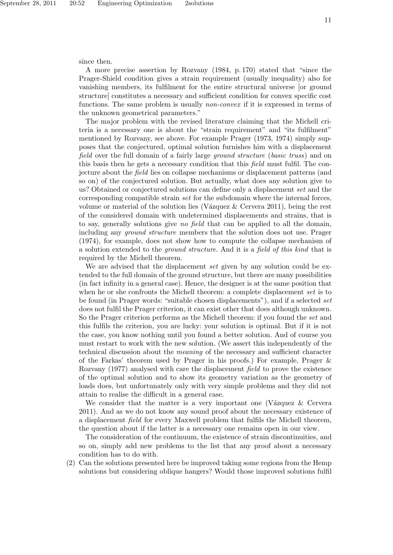since then.

A more precise assertion by Rozvany (1984, p. 170) stated that "since the Prager-Shield condition gives a strain requirement (usually inequality) also for vanishing members, its fulfilment for the entire structural universe [or ground structure] constitutes a necessary and sufficient condition for convex specific cost functions. The same problem is usually *non-convex* if it is expressed in terms of the unknown geometrical parameters."

The major problem with the revised literature claiming that the Michell criteria is a necessary one is about the "strain requirement" and "its fulfilment" mentioned by Rozvany, see above. For example Prager (1973, 1974) simply supposes that the conjectured, optimal solution furnishes him with a displacement field over the full domain of a fairly large ground structure (basic truss) and on this basis then he gets a necessary condition that this field must fulfil. The conjecture about the field lies on collapse mechanisms or displacement patterns (and so on) of the conjectured solution. But actually, what does any solution give to us? Obtained or conjectured solutions can define only a displacement set and the corresponding compatible strain set for the subdomain where the internal forces, volume or material of the solution lies (V $\alpha$ zquez & Cervera 2011), being the rest of the considered domain with undetermined displacements and strains, that is to say, generally solutions give no field that can be applied to all the domain, including any ground structure members that the solution does not use. Prager (1974), for example, does not show how to compute the collapse mechanism of a solution extended to the ground structure. And it is a field of this kind that is required by the Michell theorem.

We are advised that the displacement set given by any solution could be extended to the full domain of the ground structure, but there are many possibilities (in fact infinity in a general case). Hence, the designer is at the same position that when he or she confronts the Michell theorem: a complete displacement set is to be found (in Prager words: "suitable chosen displacements"), and if a selected set does not fulfil the Prager criterion, it can exist other that does although unknown. So the Prager criterion performs as the Michell theorem: if you found the set and this fulfils the criterion, you are lucky: your solution is optimal. But if it is not the case, you know nothing until you found a better solution. And of course you must restart to work with the new solution. (We assert this independently of the technical discussion about the meaning of the necessary and sufficient character of the Farkas' theorem used by Prager in his proofs.) For example, Prager & Rozvany (1977) analysed with care the displacement field to prove the existence of the optimal solution and to show its geometry variation as the geometry of loads does, but unfortunately only with very simple problems and they did not attain to realise the difficult in a general case.

We consider that the matter is a very important one (Vázquez  $\&$  Cervera 2011). And as we do not know any sound proof about the necessary existence of a displacement field for every Maxwell problem that fulfils the Michell theorem, the question about if the latter is a necessary one remains open in our view.

The consideration of the continuum, the existence of strain discontinuities, and so on, simply add new problems to the list that any proof about a necessary condition has to do with.

(2) Can the solutions presented here be improved taking some regions from the Hemp solutions but considering oblique hangers? Would those improved solutions fulfil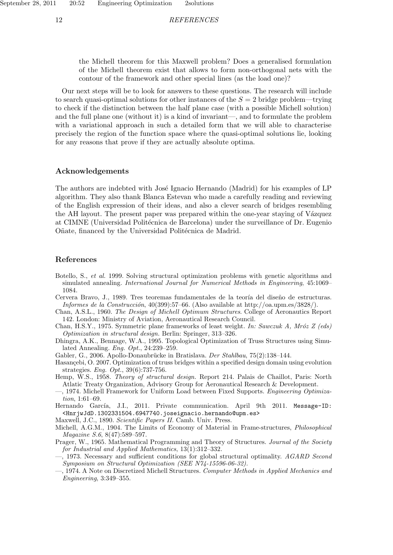12 REFERENCES

the Michell theorem for this Maxwell problem? Does a generalised formulation of the Michell theorem exist that allows to form non-orthogonal nets with the contour of the framework and other special lines (as the load one)?

Our next steps will be to look for answers to these questions. The research will include to search quasi-optimal solutions for other instances of the  $S = 2$  bridge problem—trying to check if the distinction between the half plane case (with a possible Michell solution) and the full plane one (without it) is a kind of invariant—, and to formulate the problem with a variational approach in such a detailed form that we will able to characterise precisely the region of the function space where the quasi-optimal solutions lie, looking for any reasons that prove if they are actually absolute optima.

## Acknowledgements

The authors are indebted with José Ignacio Hernando (Madrid) for his examples of LP algorithm. They also thank Blanca Estevan who made a carefully reading and reviewing of the English expression of their ideas, and also a clever search of bridges resembling the AH layout. The present paper was prepared within the one-year staying of Vázquez at CIMNE (Universidad Politécnica de Barcelona) under the surveillance of Dr. Eugenio Oñate, financed by the Universidad Politécnica de Madrid.

#### References

- Botello, S., et al. 1999. Solving structural optimization problems with genetic algorithms and simulated annealing. International Journal for Numerical Methods in Engineering, 45:1069– 1084.
- Cervera Bravo, J., 1989. Tres teoremas fundamentales de la teoría del diseño de estructuras. Informes de la Construcción, 40(399):57–66. (Also available at http://oa.upm.es/3828/).
- Chan, A.S.L., 1960. The Design of Michell Optimum Structures. College of Aeronautics Report 142. London: Ministry of Aviation, Aeronautical Research Council.
- Chan, H.S.Y., 1975. Symmetric plane frameworks of least weight. In: Sawczuk A, Mróz Z (eds) Optimization in structural design. Berlin: Springer, 313–326.
- Dhingra, A.K., Bennage, W.A., 1995. Topological Optimization of Truss Structures using Simulated Annealing. Eng. Opt., 24:239–259.
- Gabler, G., 2006. Apollo-Donaubrücke in Bratislava. Der Stahlbau, 75(2):138–144.
- Hasançebi, O. 2007. Optimization of truss bridges within a specified design domain using evolution strategies. Eng. Opt., 39(6):737-756.
- Hemp, W.S., 1958. Theory of structural design. Report 214. Palais de Chaillot, Paris: North Atlatic Treaty Organization, Advisory Group for Aeronautical Research & Development.
- —, 1974. Michell Framework for Uniform Load between Fixed Supports. Engineering Optimization, 1:61–69.
- Hernando García, J.I., 2011. Private communication. April 9th 2011. Message-ID: <HnrjwJdD.1302331504.6947740.joseignacio.hernando@upm.es>
- Maxwell, J.C., 1890. Scientific Papers II. Camb. Univ. Press.
- Michell, A.G.M., 1904. The Limits of Economy of Material in Frame-structures, Philosophical Magazine S.6, 8(47):589–597.
- Prager, W., 1965. Mathematical Programming and Theory of Structures. Journal of the Society for Industrial and Applied Mathematics, 13(1):312–332.
- —, 1973. Necessary and sufficient conditions for global structural optimality. AGARD Second Symposium on Structural Optimization (SEE N74-15596-06-32).
- —, 1974. A Note on Discretized Michell Structures. Computer Methods in Applied Mechanics and Engineering, 3:349–355.